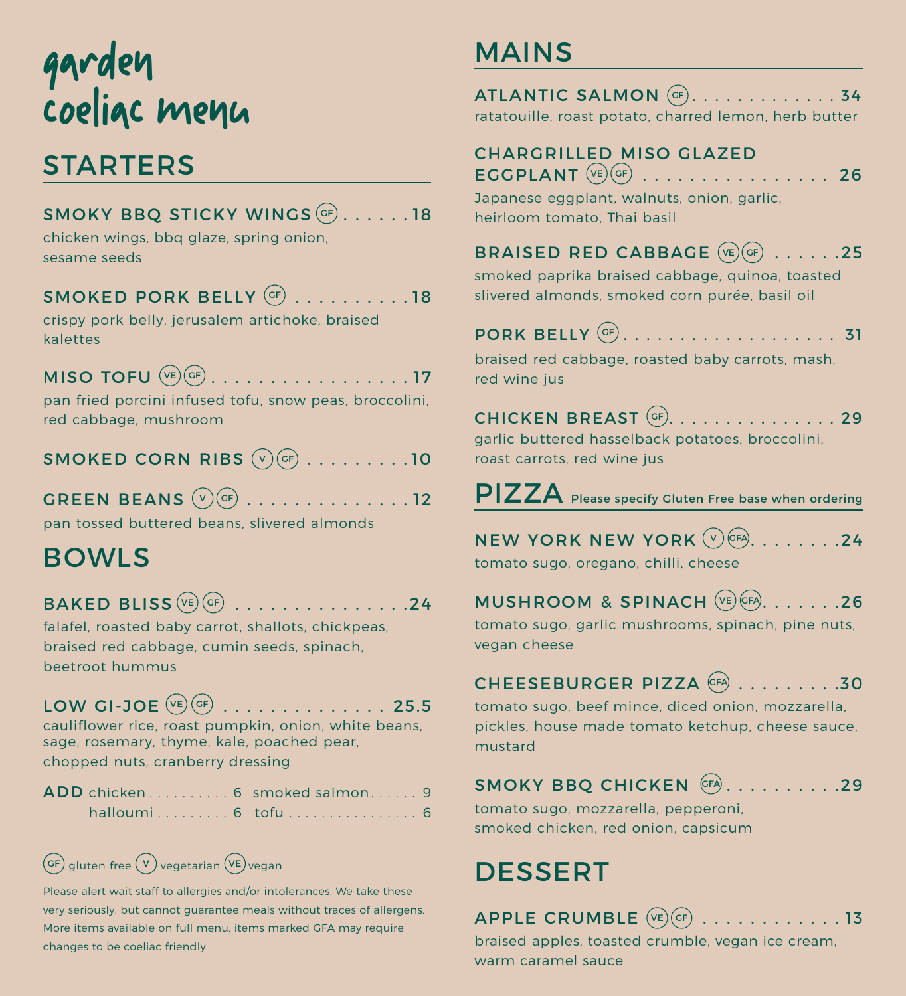# garden coeliac menu

# **STARTERS**

| SMOKY BBQ STICKY WINGS $({}^{\text{\tiny{GF}}})$ 18 |  |
|-----------------------------------------------------|--|
| chicken wings, bbq glaze, spring onion,             |  |
| sesame seeds                                        |  |
| $\mathsf{SMOKED}$ PORK BELLY $^\mathsf{(GF)}$ 18    |  |
| crispy pork belly, jerusalem artichoke, braised     |  |
| kalettes                                            |  |
|                                                     |  |

MISO TOFU  $(\overline{ve})(G_F)$ ................17 pan fried porcini infused tofu, snow peas, broccolini, red cabbage, mushroom

## SMOKED CORN RIBS  $(\overline{v})(\overline{cr})$  . . . . . . . . . 10

GREEN BEANS  $(v)(GF)$  . . . . . . . . . . . . . 12

pan tossed buttered beans, slivered almonds

# BOWLS

## $BAKED$  BLISS  $(\overline{ve})(GF)$  . . . . . . . . . . . . . . . . 24

falafel, roasted baby carrot, shallots, chickpeas, braised red cabbage, cumin seeds, spinach, beetroot hummus

### LOW GI-JOE  $(\vee_{E})$   $(GF)$  . . . . . . . . . . . . . . 25.5

cauliflower rice, roast pumpkin, onion, white beans, sage, rosemary, thyme, kale, poached pear, chopped nuts, cranberry dressing

|  | ADD chicken 6 smoked salmon. 9 |  |
|--|--------------------------------|--|
|  |                                |  |

## $GF)$  gluten free  $\overline{(v)}$  vegetarian  $\overline{(vE)}$  vegan

Please alert wait staff to allergies and/or intolerances. We take these very seriously, but cannot guarantee meals without traces of allergens. More items available on full menu, items marked GFA may require changes to be coeliac friendly

# MAINS

| ATLANTIC SALMON (GF). 34                              |  |
|-------------------------------------------------------|--|
| ratatouille, roast potato, charred lemon, herb butter |  |

#### CHARGRILLED MISO GLAZED  $EGGPLANT \overset{(ve)}{\longrightarrow} \dots \dots \dots \dots \dots \dots \dots$ 26

Japanese eggplant, walnuts, onion, garlic, heirloom tomato, Thai basil

### BRAISED RED CABBAGE  $(\overline{ve})(\overline{or})$  ......25

smoked paprika braised cabbage, quinoa, toasted slivered almonds, smoked corn purée, basil oil

|--|--|--|--|--|--|--|--|--|--|--|--|--|--|--|--|--|--|--|--|--|--|--|

braised red cabbage, roasted baby carrots, mash, red wine jus

CHICKEN BREAST  $GF$ . . . . . . . . . . . . . . . 29 garlic buttered hasselback potatoes, broccolini, roast carrots, red wine jus

PIZZA Please specify Gluten Free base when ordering

NEW YORK NEW YORK  $(v)$  (FA)  $\ldots$  . . . . . . . 24

tomato sugo, oregano, chilli, cheese

MUSHROOM & SPINACH  $(\overline{VE})$  GFA. . . . . . . 26

tomato sugo, garlic mushrooms, spinach, pine nuts, vegan cheese

#### CHEESEBURGER PIZZA (GFA) . . . . . . . . . . 30

tomato sugo, beef mince, diced onion, mozzarella, pickles, house made tomato ketchup, cheese sauce, mustard

## SMOKY BBQ CHICKEN GFA.........29

tomato sugo, mozzarella, pepperoni, smoked chicken, red onion, capsicum

# DESSERT

## APPLE CRUMBLE  $(\overline{ve})(\overline{GF})$  . . . . . . . . . . . 13

braised apples, toasted crumble, vegan ice cream, warm caramel sauce